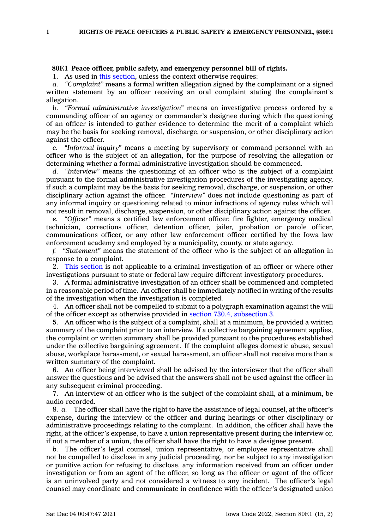## **80F.1 Peace officer, public safety, and emergency personnel bill of rights.**

1. As used in this [section](https://www.legis.iowa.gov/docs/code/80F.1.pdf), unless the context otherwise requires:

*a. "Complaint"* means <sup>a</sup> formal written allegation signed by the complainant or <sup>a</sup> signed written statement by an officer receiving an oral complaint stating the complainant's allegation.

*b. "Formal administrative investigation"* means an investigative process ordered by <sup>a</sup> commanding officer of an agency or commander's designee during which the questioning of an officer is intended to gather evidence to determine the merit of <sup>a</sup> complaint which may be the basis for seeking removal, discharge, or suspension, or other disciplinary action against the officer.

*c. "Informal inquiry"* means <sup>a</sup> meeting by supervisory or command personnel with an officer who is the subject of an allegation, for the purpose of resolving the allegation or determining whether <sup>a</sup> formal administrative investigation should be commenced.

*d. "Interview"* means the questioning of an officer who is the subject of <sup>a</sup> complaint pursuant to the formal administrative investigation procedures of the investigating agency, if such <sup>a</sup> complaint may be the basis for seeking removal, discharge, or suspension, or other disciplinary action against the officer. *"Interview"* does not include questioning as part of any informal inquiry or questioning related to minor infractions of agency rules which will not result in removal, discharge, suspension, or other disciplinary action against the officer.

*e. "Officer"* means <sup>a</sup> certified law enforcement officer, fire fighter, emergency medical technician, corrections officer, detention officer, jailer, probation or parole officer, communications officer, or any other law enforcement officer certified by the Iowa law enforcement academy and employed by <sup>a</sup> municipality, county, or state agency.

*f. "Statement"* means the statement of the officer who is the subject of an allegation in response to <sup>a</sup> complaint.

2. This [section](https://www.legis.iowa.gov/docs/code/80F.1.pdf) is not applicable to <sup>a</sup> criminal investigation of an officer or where other investigations pursuant to state or federal law require different investigatory procedures.

3. A formal administrative investigation of an officer shall be commenced and completed in <sup>a</sup> reasonable period of time. An officer shall be immediately notified in writing of the results of the investigation when the investigation is completed.

4. An officer shall not be compelled to submit to <sup>a</sup> polygraph examination against the will of the officer except as otherwise provided in section 730.4, [subsection](https://www.legis.iowa.gov/docs/code/730.4.pdf) 3.

5. An officer who is the subject of <sup>a</sup> complaint, shall at <sup>a</sup> minimum, be provided <sup>a</sup> written summary of the complaint prior to an interview. If <sup>a</sup> collective bargaining agreement applies, the complaint or written summary shall be provided pursuant to the procedures established under the collective bargaining agreement. If the complaint alleges domestic abuse, sexual abuse, workplace harassment, or sexual harassment, an officer shall not receive more than <sup>a</sup> written summary of the complaint.

6. An officer being interviewed shall be advised by the interviewer that the officer shall answer the questions and be advised that the answers shall not be used against the officer in any subsequent criminal proceeding.

7. An interview of an officer who is the subject of the complaint shall, at <sup>a</sup> minimum, be audio recorded.

8. *a.* The officer shall have the right to have the assistance of legal counsel, at the officer's expense, during the interview of the officer and during hearings or other disciplinary or administrative proceedings relating to the complaint. In addition, the officer shall have the right, at the officer's expense, to have <sup>a</sup> union representative present during the interview or, if not <sup>a</sup> member of <sup>a</sup> union, the officer shall have the right to have <sup>a</sup> designee present.

*b.* The officer's legal counsel, union representative, or employee representative shall not be compelled to disclose in any judicial proceeding, nor be subject to any investigation or punitive action for refusing to disclose, any information received from an officer under investigation or from an agent of the officer, so long as the officer or agent of the officer is an uninvolved party and not considered <sup>a</sup> witness to any incident. The officer's legal counsel may coordinate and communicate in confidence with the officer's designated union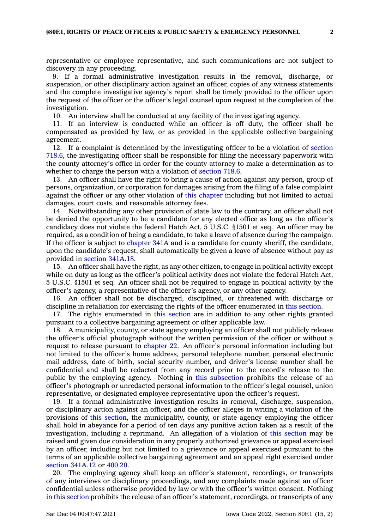representative or employee representative, and such communications are not subject to discovery in any proceeding.

9. If <sup>a</sup> formal administrative investigation results in the removal, discharge, or suspension, or other disciplinary action against an officer, copies of any witness statements and the complete investigative agency's report shall be timely provided to the officer upon the request of the officer or the officer's legal counsel upon request at the completion of the investigation.

10. An interview shall be conducted at any facility of the investigating agency.

11. If an interview is conducted while an officer is off duty, the officer shall be compensated as provided by law, or as provided in the applicable collective bargaining agreement.

12. If <sup>a</sup> complaint is determined by the investigating officer to be <sup>a</sup> violation of [section](https://www.legis.iowa.gov/docs/code/718.6.pdf) [718.6](https://www.legis.iowa.gov/docs/code/718.6.pdf), the investigating officer shall be responsible for filing the necessary paperwork with the county attorney's office in order for the county attorney to make <sup>a</sup> determination as to whether to charge the person with <sup>a</sup> violation of [section](https://www.legis.iowa.gov/docs/code/718.6.pdf) 718.6.

13. An officer shall have the right to bring <sup>a</sup> cause of action against any person, group of persons, organization, or corporation for damages arising from the filing of <sup>a</sup> false complaint against the officer or any other violation of this [chapter](https://www.legis.iowa.gov/docs/code//80F.pdf) including but not limited to actual damages, court costs, and reasonable attorney fees.

14. Notwithstanding any other provision of state law to the contrary, an officer shall not be denied the opportunity to be <sup>a</sup> candidate for any elected office as long as the officer's candidacy does not violate the federal Hatch Act, 5 U.S.C. §1501 et seq. An officer may be required, as <sup>a</sup> condition of being <sup>a</sup> candidate, to take <sup>a</sup> leave of absence during the campaign. If the officer is subject to [chapter](https://www.legis.iowa.gov/docs/code//341A.pdf)  $341A$  and is a candidate for county sheriff, the candidate, upon the candidate's request, shall automatically be given <sup>a</sup> leave of absence without pay as provided in section [341A.18](https://www.legis.iowa.gov/docs/code/341A.18.pdf).

15. An officer shall have the right, as any other citizen, to engage in political activity except while on duty as long as the officer's political activity does not violate the federal Hatch Act, 5 U.S.C. §1501 et seq. An officer shall not be required to engage in political activity by the officer's agency, <sup>a</sup> representative of the officer's agency, or any other agency.

16. An officer shall not be discharged, disciplined, or threatened with discharge or discipline in retaliation for exercising the rights of the officer enumerated in this [section](https://www.legis.iowa.gov/docs/code/80F.1.pdf).

17. The rights enumerated in this [section](https://www.legis.iowa.gov/docs/code/80F.1.pdf) are in addition to any other rights granted pursuant to <sup>a</sup> collective bargaining agreement or other applicable law.

18. A municipality, county, or state agency employing an officer shall not publicly release the officer's official photograph without the written permission of the officer or without <sup>a</sup> request to release pursuant to [chapter](https://www.legis.iowa.gov/docs/code//22.pdf) 22. An officer's personal information including but not limited to the officer's home address, personal telephone number, personal electronic mail address, date of birth, social security number, and driver's license number shall be confidential and shall be redacted from any record prior to the record's release to the public by the employing agency. Nothing in this [subsection](https://www.legis.iowa.gov/docs/code/80F.1.pdf) prohibits the release of an officer's photograph or unredacted personal information to the officer's legal counsel, union representative, or designated employee representative upon the officer's request.

19. If <sup>a</sup> formal administrative investigation results in removal, discharge, suspension, or disciplinary action against an officer, and the officer alleges in writing <sup>a</sup> violation of the provisions of this [section](https://www.legis.iowa.gov/docs/code/80F.1.pdf), the municipality, county, or state agency employing the officer shall hold in abeyance for <sup>a</sup> period of ten days any punitive action taken as <sup>a</sup> result of the investigation, including <sup>a</sup> reprimand. An allegation of <sup>a</sup> violation of this [section](https://www.legis.iowa.gov/docs/code/80F.1.pdf) may be raised and given due consideration in any properly authorized grievance or appeal exercised by an officer, including but not limited to <sup>a</sup> grievance or appeal exercised pursuant to the terms of an applicable collective bargaining agreement and an appeal right exercised under section [341A.12](https://www.legis.iowa.gov/docs/code/341A.12.pdf) or [400.20](https://www.legis.iowa.gov/docs/code/400.20.pdf).

20. The employing agency shall keep an officer's statement, recordings, or transcripts of any interviews or disciplinary proceedings, and any complaints made against an officer confidential unless otherwise provided by law or with the officer's written consent. Nothing in this [section](https://www.legis.iowa.gov/docs/code/80F.1.pdf) prohibits the release of an officer's statement, recordings, or transcripts of any